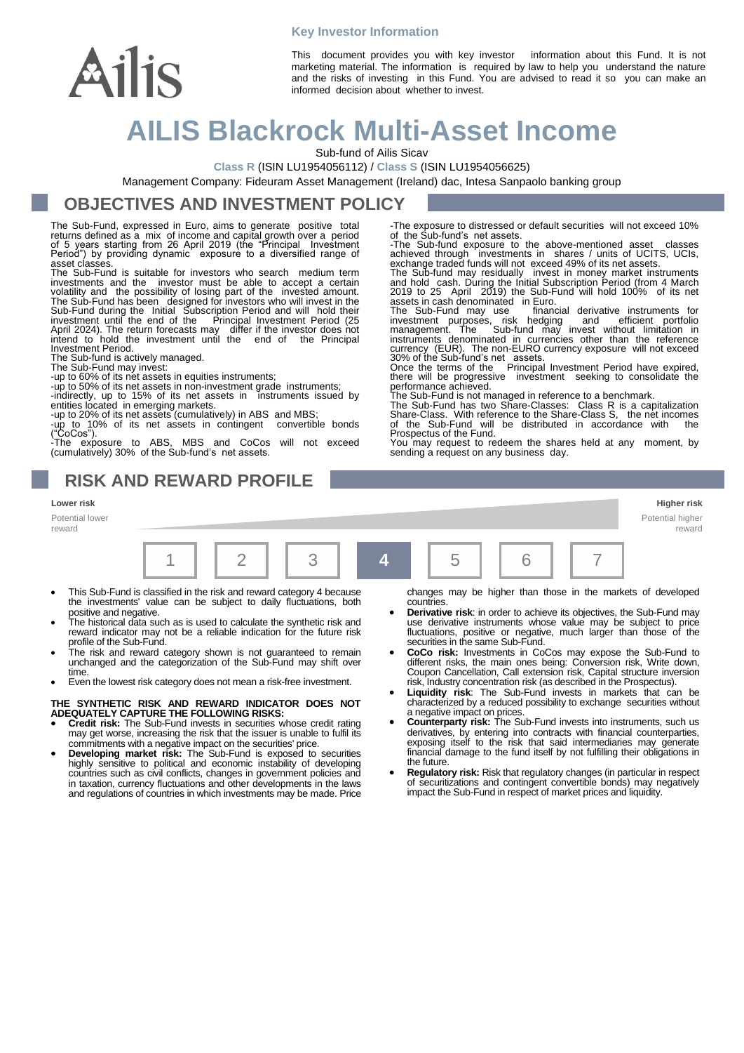# Ailis

This document provides you with key investor information about this Fund. It is not marketing material. The information is required by law to help you understand the nature and the risks of investing in this Fund. You are advised to read it so you can make an informed decision about whether to invest.

## **AILIS Blackrock Multi-Asset Income**

**Key Investor Information**

Sub-fund of Ailis Sicav

**Class R** (ISIN LU1954056112) / **Class S** (ISIN LU1954056625)

Management Company: Fideuram Asset Management (Ireland) dac, Intesa Sanpaolo banking group

#### **OBJECTIVES AND INVESTMENT POLICY**

The Sub-Fund, expressed in Euro, aims to generate positive total returns defined as a mix of income and capital growth over a period of 5 years starting from 26 April 2019 (the "Principal Investment Period") by providing dynamic exposure to a diversified range of asset classes.

The Sub-Fund is suitable for investors who search medium term investments and the investor must be able to accept a certain<br>volatility and the possibility of losing part of the invested amount.<br>The Sub-Fund has been designed for investors who will invest in the<br>Sub-Fund during the In Investment Period.

The Sub-fund is actively managed.

Potential lower reward

The Sub-Fund may invest:

-up to 60% of its net assets in equities instruments; -up to 50% of its net assets in non-investment grade instruments; -indirectly, up to 15% of its net assets in instruments issued by entities located in emerging markets.

-up to 20% of its net assets (cumulatively) in ABS and MBS; -up to  $10\%$  of its net assets in contingent

("CoCos"). -The exposure to ABS, MBS and CoCos will not exceed (cumulatively) 30% of the Sub-fund's net assets.

**RISK AND REWARD PROFILE**

-The exposure to distressed or default securities will not exceed 10% of the Sub-fund's net assets.

-The Sub-fund exposure to the above-mentioned asset classes

achieved through investments in shares / units of UCITS, UCIs, exchange traded funds will not exceed 49% of its net assets.<br>The Sub-fund may residually invest in money market instruments<br>and hold cash. During the Initial S assets in cash denominated in Euro.

The Sub-Fund may use financial derivative instruments for<br>investment purposes, risk hedging and efficient portfolio<br>management. The Sub-fund may invest without limitation in<br>instruments denominated in currencies other than

30% of the Sub-fund's net assets. Once the terms of the Principal Investment Period have expired,

there will be progressive investment seeking to consolidate the<br>performance achieved.<br>The Sub-Fund is not managed in reference to a benchmark.<br>The Sub-Fund has two Share-Classes: Class R is a capitalization<br>Share-Class. Wi Prospectus of the Fund.

You may request to redeem the shares held at any moment, by sending a request on any business day.

#### **Lower risk Higher risk**

Potential higher reward



- This Sub-Fund is classified in the risk and reward category 4 because the investments' value can be subject to daily fluctuations, both
- positive and negative. The historical data such as is used to calculate the synthetic risk and reward indicator may not be a reliable indication for the future risk profile of the Sub-Fund.
- The risk and reward category shown is not guaranteed to remain unchanged and the categorization of the Sub-Fund may shift over time
- Even the lowest risk category does not mean a risk-free investment.

## **THE SYNTHETIC RISK AND REWARD INDICATOR DOES NOT ADEQUATELY CAPTURE THE FOLLOWING RISKS: Credit risk:** The Sub-Fund invests in securities whose credit rating

- may get worse, increasing the risk that the issuer is unable to fulfil its commitments with a negative impact on the securities' price.
- **Developing market risk:** The Sub-Fund is exposed to securities highly sensitive to political and economic instability of developing countries such as civil conflicts, changes in government policies and in taxation, currency fluctuations and other developments in the laws and regulations of countries in which investments may be made. Price

changes may be higher than those in the markets of developed countries.

- **Derivative risk**: in order to achieve its objectives, the Sub-Fund may use derivative instruments whose value may be subject to price fluctuations, positive or negative, much larger than those of the securities in the same Sub-Fund.
- **CoCo risk:** Investments in CoCos may expose the Sub-Fund to different risks, the main ones being: Conversion risk, Write down, Coupon Cancellation, Call extension risk, Capital structure inversion risk, Industry concentration risk (as described in the Prospectus).
- **Liquidity risk**: The Sub-Fund invests in markets that can be characterized by a reduced possibility to exchange securities without a negative impact on prices.
- **Counterparty risk:** The Sub-Fund invests into instruments, such us derivatives, by entering into contracts with financial counterparties, exposing itself to the risk that said intermediaries may generate financial damage to the fund itself by not fulfilling their obligations in the future.
- **Regulatory risk:** Risk that regulatory changes (in particular in respect of securitizations and contingent convertible bonds) may negatively impact the Sub-Fund in respect of market prices and liquidity.